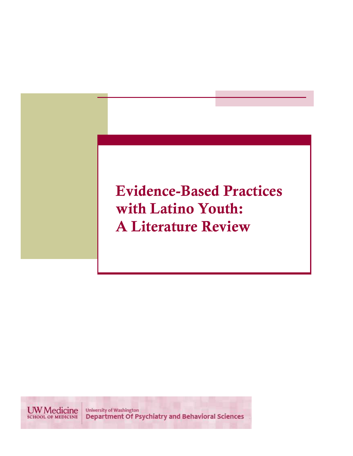# Evidence-Based Practices with Latino Youth: A Literature Review

**UW** Medicine University of Washington<br>Department Of Psychiatry and Behavioral Sciences **SCHOOL OF MEDICINE**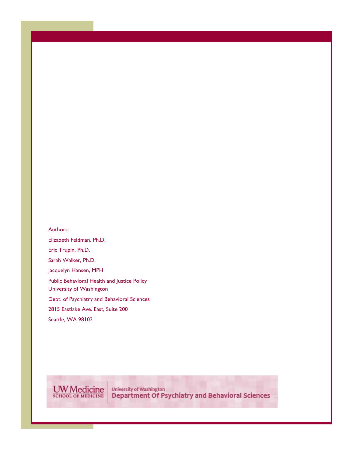Authors: Elizabeth Feldman, Ph.D. Eric Trupin, Ph.D. Sarah Walker, Ph.D. Jacquelyn Hansen, MPH Public Behavioral Health and Justice Policy University of Washington Dept. of Psychiatry and Behavioral Sciences 2815 Eastlake Ave. East, Suite 200 Seattle, WA 98102

**UW** Medicine

University of Washington<br>Department Of Psychiatry and Behavioral Sciences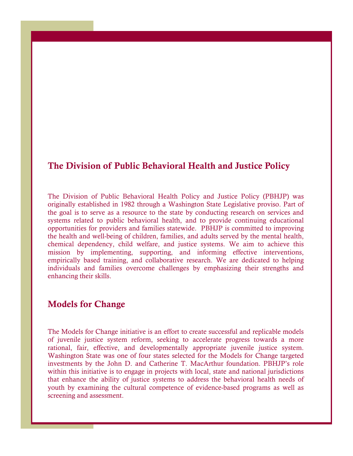### The Division of Public Behavioral Health and Justice Policy

The Division of Public Behavioral Health Policy and Justice Policy (PBHJP) was originally established in 1982 through a Washington State Legislative proviso. Part of the goal is to serve as a resource to the state by conducting research on services and systems related to public behavioral health, and to provide continuing educational opportunities for providers and families statewide. PBHJP is committed to improving the health and well-being of children, families, and adults served by the mental health, chemical dependency, child welfare, and justice systems. We aim to achieve this mission by implementing, supporting, and informing effective interventions, empirically based training, and collaborative research. We are dedicated to helping individuals and families overcome challenges by emphasizing their strengths and enhancing their skills.

#### Models for Change

The Models for Change initiative is an effort to create successful and replicable models of juvenile justice system reform, seeking to accelerate progress towards a more rational, fair, effective, and developmentally appropriate juvenile justice system. Washington State was one of four states selected for the Models for Change targeted investments by the John D. and Catherine T. MacArthur foundation. PBHJP's role within this initiative is to engage in projects with local, state and national jurisdictions that enhance the ability of justice systems to address the behavioral health needs of youth by examining the cultural competence of evidence-based programs as well as screening and assessment.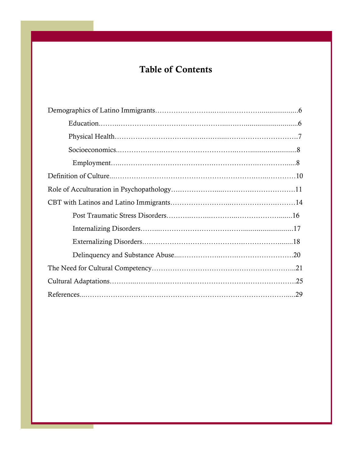## Table of Contents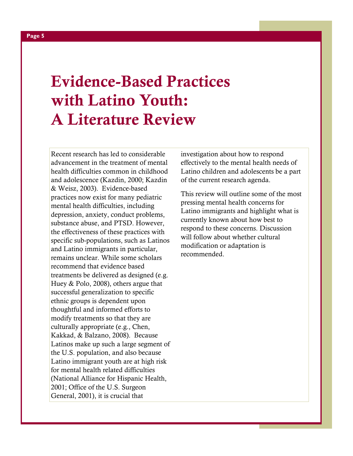# Evidence-Based Practices with Latino Youth: A Literature Review

Recent research has led to considerable advancement in the treatment of mental health difficulties common in childhood and adolescence (Kazdin, 2000; Kazdin & Weisz, 2003). Evidence-based practices now exist for many pediatric mental health difficulties, including depression, anxiety, conduct problems, substance abuse, and PTSD. However, the effectiveness of these practices with specific sub-populations, such as Latinos and Latino immigrants in particular, remains unclear. While some scholars recommend that evidence based treatments be delivered as designed (e.g. Huey & Polo, 2008), others argue that successful generalization to specific ethnic groups is dependent upon thoughtful and informed efforts to modify treatments so that they are culturally appropriate (e.g., Chen, Kakkad, & Balzano, 2008). Because Latinos make up such a large segment of the U.S. population, and also because Latino immigrant youth are at high risk for mental health related difficulties (National Alliance for Hispanic Health, 2001; Office of the U.S. Surgeon General, 2001), it is crucial that

investigation about how to respond effectively to the mental health needs of Latino children and adolescents be a part of the current research agenda.

This review will outline some of the most pressing mental health concerns for Latino immigrants and highlight what is currently known about how best to respond to these concerns. Discussion will follow about whether cultural modification or adaptation is recommended.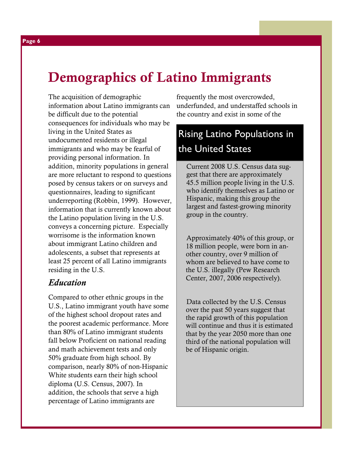# Demographics of Latino Immigrants

The acquisition of demographic information about Latino immigrants can be difficult due to the potential consequences for individuals who may be living in the United States as undocumented residents or illegal immigrants and who may be fearful of providing personal information. In addition, minority populations in general are more reluctant to respond to questions posed by census takers or on surveys and questionnaires, leading to significant underreporting (Robbin, 1999). However, information that is currently known about the Latino population living in the U.S. conveys a concerning picture. Especially worrisome is the information known about immigrant Latino children and adolescents, a subset that represents at least 25 percent of all Latino immigrants residing in the U.S.

#### Education

Compared to other ethnic groups in the U.S., Latino immigrant youth have some of the highest school dropout rates and the poorest academic performance. More than 80% of Latino immigrant students fall below Proficient on national reading and math achievement tests and only 50% graduate from high school. By comparison, nearly 80% of non-Hispanic White students earn their high school diploma (U.S. Census, 2007). In addition, the schools that serve a high percentage of Latino immigrants are

frequently the most overcrowded, underfunded, and understaffed schools in the country and exist in some of the

## Rising Latino Populations in the United States

Current 2008 U.S. Census data suggest that there are approximately 45.5 million people living in the U.S. who identify themselves as Latino or Hispanic, making this group the largest and fastest-growing minority group in the country.

Approximately 40% of this group, or 18 million people, were born in another country, over 9 million of whom are believed to have come to the U.S. illegally (Pew Research Center, 2007, 2006 respectively).

Data collected by the U.S. Census over the past 50 years suggest that the rapid growth of this population will continue and thus it is estimated that by the year 2050 more than one third of the national population will be of Hispanic origin.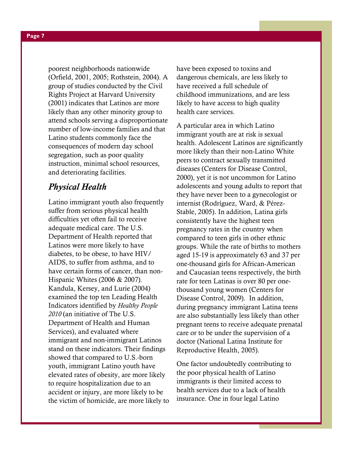Page 7

poorest neighborhoods nationwide (Orfield, 2001, 2005; Rothstein, 2004). A group of studies conducted by the Civil Rights Project at Harvard University (2001) indicates that Latinos are more likely than any other minority group to attend schools serving a disproportionate number of low-income families and that Latino students commonly face the consequences of modern day school segregation, such as poor quality instruction, minimal school resources, and deteriorating facilities.

### Physical Health

Latino immigrant youth also frequently suffer from serious physical health difficulties yet often fail to receive adequate medical care. The U.S. Department of Health reported that Latinos were more likely to have diabetes, to be obese, to have HIV/ AIDS, to suffer from asthma, and to have certain forms of cancer, than non-Hispanic Whites (2006 & 2007). Kandula, Kersey, and Lurie (2004) examined the top ten Leading Health Indicators identified by Healthy People 2010 (an initiative of The U.S. Department of Health and Human Services), and evaluated where immigrant and non-immigrant Latinos stand on these indicators. Their findings showed that compared to U.S.-born youth, immigrant Latino youth have elevated rates of obesity, are more likely to require hospitalization due to an accident or injury, are more likely to be the victim of homicide, are more likely to have been exposed to toxins and dangerous chemicals, are less likely to have received a full schedule of childhood immunizations, and are less likely to have access to high quality health care services.

A particular area in which Latino immigrant youth are at risk is sexual health. Adolescent Latinos are significantly more likely than their non-Latino White peers to contract sexually transmitted diseases (Centers for Disease Control, 2000), yet it is not uncommon for Latino adolescents and young adults to report that they have never been to a gynecologist or internist (Rodríguez, Ward, & Pérez-Stable, 2005). In addition, Latina girls consistently have the highest teen pregnancy rates in the country when compared to teen girls in other ethnic groups. While the rate of births to mothers aged 15-19 is approximately 63 and 37 per one-thousand girls for African-American and Caucasian teens respectively, the birth rate for teen Latinas is over 80 per onethousand young women (Centers for Disease Control, 2009). In addition, during pregnancy immigrant Latina teens are also substantially less likely than other pregnant teens to receive adequate prenatal care or to be under the supervision of a doctor (National Latina Institute for Reproductive Health, 2005).

One factor undoubtedly contributing to the poor physical health of Latino immigrants is their limited access to health services due to a lack of health insurance. One in four legal Latino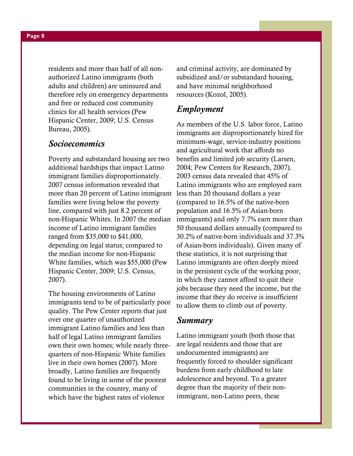residents and more than half of all nonauthorized Latino immigrants (both adults and children) are uninsured and therefore rely on emergency departments and free or reduced cost community clinics for all health services (Pew Hispanic Center, 2009; U.S. Census Bureau, 2005).

#### Socioeconomics

Poverty and substandard housing are two additional hardships that impact Latino immigrant families disproportionately. 2007 census information revealed that more than 20 percent of Latino immigrant less than 20 thousand dollars a year families were living below the poverty line, compared with just 8.2 percent of non-Hispanic Whites. In 2007 the median income of Latino immigrant families ranged from \$35,000 to \$41,000, depending on legal status; compared to the median income for non-Hispanic White families, which was \$55,000 (Pew Hispanic Center, 2009; U.S. Census, 2007).

The housing environments of Latino immigrants tend to be of particularly poor quality. The Pew Center reports that just over one quarter of unauthorized immigrant Latino families and less than half of legal Latino immigrant families own their own homes; while nearly threequarters of non-Hispanic White families live in their own homes (2007). More broadly, Latino families are frequently found to be living in some of the poorest communities in the country, many of which have the highest rates of violence

and criminal activity, are dominated by subsidized and/or substandard housing, and have minimal neighborhood resources (Kozol, 2005).

#### Employment

As members of the U.S. labor force, Latino immigrants are disproportionately hired for minimum-wage, service-industry positions and agricultural work that affords no benefits and limited job security (Larsen, 2004; Pew Centers for Research, 2007). 2003 census data revealed that 45% of Latino immigrants who are employed earn (compared to 16.5% of the native-born population and 16.5% of Asian-born immigrants) and only 7.7% earn more than 50 thousand dollars annually (compared to 30.2% of native-born individuals and 37.3% of Asian-born individuals). Given many of these statistics, it is not surprising that Latino immigrants are often deeply mired in the persistent cycle of the working poor, in which they cannot afford to quit their jobs because they need the income, but the income that they do receive is insufficient to allow them to climb out of poverty.

#### Summary

Latino immigrant youth (both those that are legal residents and those that are undocumented immigrants) are frequently forced to shoulder significant burdens from early childhood to late adolescence and beyond. To a greater degree than the majority of their nonimmigrant, non-Latino peers, these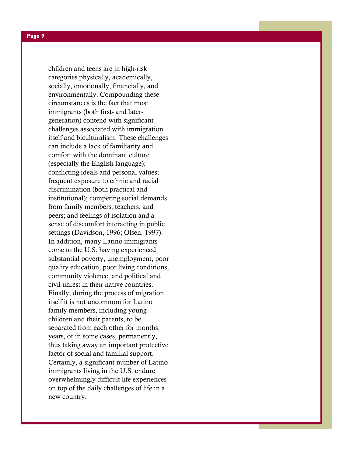children and teens are in high-risk categories physically, academically, socially, emotionally, financially, and environmentally. Compounding these circumstances is the fact that most immigrants (both first- and latergeneration) contend with significant challenges associated with immigration itself and biculturalism. These challenges can include a lack of familiarity and comfort with the dominant culture (especially the English language); conflicting ideals and personal values; frequent exposure to ethnic and racial discrimination (both practical and institutional); competing social demands from family members, teachers, and peers; and feelings of isolation and a sense of discomfort interacting in public settings (Davidson, 1996; Olsen, 1997). In addition, many Latino immigrants come to the U.S. having experienced substantial poverty, unemployment, poor quality education, poor living conditions, community violence, and political and civil unrest in their native countries. Finally, during the process of migration itself it is not uncommon for Latino family members, including young children and their parents, to be separated from each other for months, years, or in some cases, permanently, thus taking away an important protective factor of social and familial support. Certainly, a significant number of Latino immigrants living in the U.S. endure overwhelmingly difficult life experiences on top of the daily challenges of life in a new country.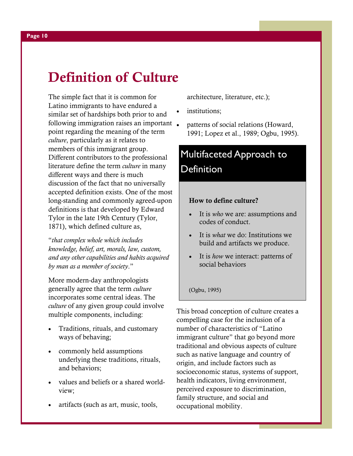# Definition of Culture

The simple fact that it is common for Latino immigrants to have endured a similar set of hardships both prior to and following immigration raises an important point regarding the meaning of the term culture, particularly as it relates to members of this immigrant group. Different contributors to the professional literature define the term culture in many different ways and there is much discussion of the fact that no universally accepted definition exists. One of the most long-standing and commonly agreed-upon definitions is that developed by Edward Tylor in the late 19th Century (Tylor, 1871), which defined culture as,

"that complex whole which includes knowledge, belief, art, morals, law, custom, and any other capabilities and habits acquired by man as a member of society."

More modern-day anthropologists generally agree that the term culture incorporates some central ideas. The culture of any given group could involve multiple components, including:

- Traditions, rituals, and customary ways of behaving;
- commonly held assumptions underlying these traditions, rituals, and behaviors;
- values and beliefs or a shared worldview;
- artifacts (such as art, music, tools,

architecture, literature, etc.);

- institutions;
- patterns of social relations (Howard, 1991; Lopez et al., 1989; Ogbu, 1995).

## Multifaceted Approach to **Definition**

#### How to define culture?

- It is *who* we are: assumptions and codes of conduct.
- It is *what* we do: Institutions we build and artifacts we produce.
- It is how we interact: patterns of social behaviors

(Ogbu, 1995)

This broad conception of culture creates a compelling case for the inclusion of a number of characteristics of "Latino immigrant culture" that go beyond more traditional and obvious aspects of culture such as native language and country of origin, and include factors such as socioeconomic status, systems of support, health indicators, living environment, perceived exposure to discrimination, family structure, and social and occupational mobility.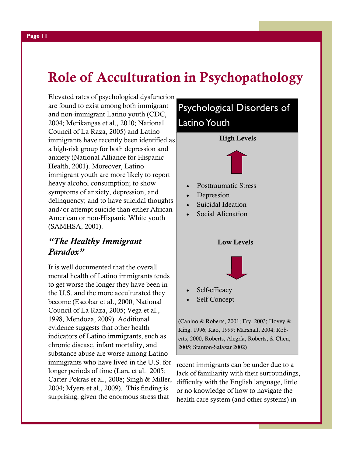# Role of Acculturation in Psychopathology

Elevated rates of psychological dysfunction are found to exist among both immigrant and non-immigrant Latino youth (CDC, 2004; Merikangas et al., 2010; National Council of La Raza, 2005) and Latino immigrants have recently been identified as a high-risk group for both depression and anxiety (National Alliance for Hispanic Health, 2001). Moreover, Latino immigrant youth are more likely to report heavy alcohol consumption; to show symptoms of anxiety, depression, and delinquency; and to have suicidal thoughts and/or attempt suicide than either African-American or non-Hispanic White youth (SAMHSA, 2001).

### "The Healthy Immigrant Paradox"

It is well documented that the overall mental health of Latino immigrants tends to get worse the longer they have been in the U.S. and the more acculturated they become (Escobar et al., 2000; National Council of La Raza, 2005; Vega et al., 1998, Mendoza, 2009). Additional evidence suggests that other health indicators of Latino immigrants, such as chronic disease, infant mortality, and substance abuse are worse among Latino immigrants who have lived in the U.S. for longer periods of time (Lara et al., 2005; Carter-Pokras et al., 2008; Singh & Miller, 2004; Myers et al., 2009). This finding is surprising, given the enormous stress that



lack of familiarity with their surroundings, difficulty with the English language, little or no knowledge of how to navigate the health care system (and other systems) in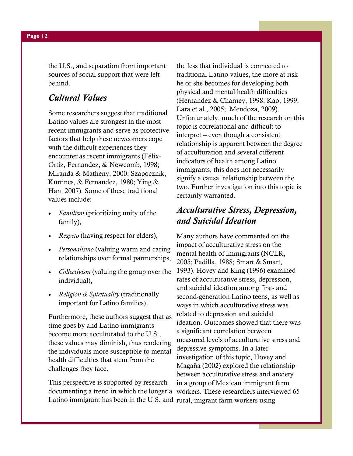the U.S., and separation from important sources of social support that were left behind.

#### Cultural Values

Some researchers suggest that traditional Latino values are strongest in the most recent immigrants and serve as protective factors that help these newcomers cope with the difficult experiences they encounter as recent immigrants (Félix-Ortiz, Fernandez, & Newcomb, 1998; Miranda & Matheny, 2000; Szapocznik, Kurtines, & Fernandez, 1980; Ying & Han, 2007). Some of these traditional values include:

- *Familism* (prioritizing unity of the family),
- *Respeto* (having respect for elders),
- Personalismo (valuing warm and caring relationships over formal partnerships,
- *Collectivism* (valuing the group over the individual),
- Religion & Spirituality (traditionally important for Latino families).

Furthermore, these authors suggest that as time goes by and Latino immigrants become more acculturated to the U.S., these values may diminish, thus rendering the individuals more susceptible to mental health difficulties that stem from the challenges they face.

This perspective is supported by research documenting a trend in which the longer a workers. These researchers interviewed 65 Latino immigrant has been in the U.S. and rural, migrant farm workers using

the less that individual is connected to traditional Latino values, the more at risk he or she becomes for developing both physical and mental health difficulties (Hernandez & Charney, 1998; Kao, 1999; Lara et al., 2005; Mendoza, 2009). Unfortunately, much of the research on this topic is correlational and difficult to interpret – even though a consistent relationship is apparent between the degree of acculturation and several different indicators of health among Latino immigrants, this does not necessarily signify a causal relationship between the two. Further investigation into this topic is certainly warranted.

#### Acculturative Stress, Depression, and Suicidal Ideation

Many authors have commented on the impact of acculturative stress on the mental health of immigrants (NCLR, 2005; Padilla, 1988; Smart & Smart, 1993). Hovey and King (1996) examined rates of acculturative stress, depression, and suicidal ideation among first- and second-generation Latino teens, as well as ways in which acculturative stress was related to depression and suicidal ideation. Outcomes showed that there was a significant correlation between measured levels of acculturative stress and depressive symptoms. In a later investigation of this topic, Hovey and Magaña (2002) explored the relationship between acculturative stress and anxiety in a group of Mexican immigrant farm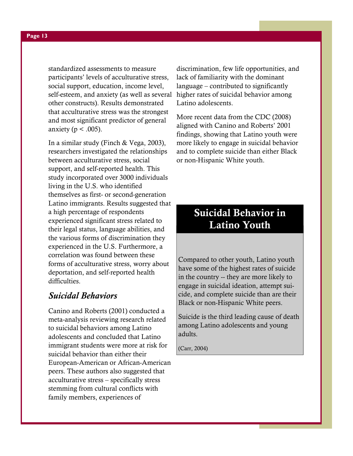standardized assessments to measure participants' levels of acculturative stress, social support, education, income level, self-esteem, and anxiety (as well as several higher rates of suicidal behavior among other constructs). Results demonstrated that acculturative stress was the strongest and most significant predictor of general anxiety ( $p < .005$ ).

In a similar study (Finch & Vega, 2003), researchers investigated the relationships between acculturative stress, social support, and self-reported health. This study incorporated over 3000 individuals living in the U.S. who identified themselves as first- or second-generation Latino immigrants. Results suggested that a high percentage of respondents experienced significant stress related to their legal status, language abilities, and the various forms of discrimination they experienced in the U.S. Furthermore, a correlation was found between these forms of acculturative stress, worry about deportation, and self-reported health difficulties.

#### Suicidal Behaviors

Canino and Roberts (2001) conducted a meta-analysis reviewing research related to suicidal behaviors among Latino adolescents and concluded that Latino immigrant students were more at risk for suicidal behavior than either their European-American or African-American peers. These authors also suggested that acculturative stress – specifically stress stemming from cultural conflicts with family members, experiences of

discrimination, few life opportunities, and lack of familiarity with the dominant language – contributed to significantly Latino adolescents.

More recent data from the CDC (2008) aligned with Canino and Roberts' 2001 findings, showing that Latino youth were more likely to engage in suicidal behavior and to complete suicide than either Black or non-Hispanic White youth.

## Suicidal Behavior in Latino Youth

Compared to other youth, Latino youth have some of the highest rates of suicide in the country -- they are more likely to engage in suicidal ideation, attempt suicide, and complete suicide than are their Black or non-Hispanic White peers.

Suicide is the third leading cause of death among Latino adolescents and young adults.

(Carr, 2004)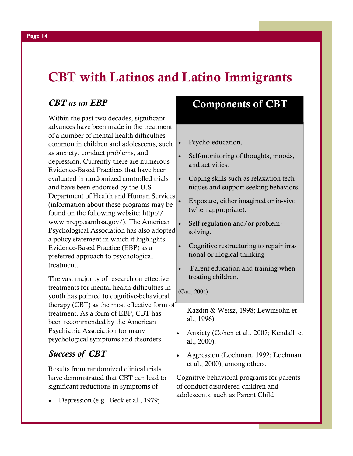# CBT with Latinos and Latino Immigrants

### CBT as an EBP

Within the past two decades, significant advances have been made in the treatment of a number of mental health difficulties common in children and adolescents, such as anxiety, conduct problems, and depression. Currently there are numerous Evidence-Based Practices that have been evaluated in randomized controlled trials and have been endorsed by the U.S. Department of Health and Human Services (information about these programs may be found on the following website: http:// www.nrepp.samhsa.gov/). The American Psychological Association has also adopted a policy statement in which it highlights Evidence-Based Practice (EBP) as a preferred approach to psychological treatment.

The vast majority of research on effective treatments for mental health difficulties in youth has pointed to cognitive-behavioral therapy (CBT) as the most effective form of treatment. As a form of EBP, CBT has been recommended by the American Psychiatric Association for many psychological symptoms and disorders.

### Success of CBT

Results from randomized clinical trials have demonstrated that CBT can lead to significant reductions in symptoms of

• Depression (e.g., Beck et al., 1979;

## Components of CBT

- Psycho-education.
- Self-monitoring of thoughts, moods, and activities.
- Coping skills such as relaxation techniques and support-seeking behaviors.
- Exposure, either imagined or in-vivo (when appropriate).
- Self-regulation and/or problemsolving.
- Cognitive restructuring to repair irrational or illogical thinking
- Parent education and training when treating children.

(Carr, 2004)

Kazdin & Weisz, 1998; Lewinsohn et al., 1996);

- Anxiety (Cohen et al., 2007; Kendall et al., 2000);
- Aggression (Lochman, 1992; Lochman et al., 2000), among others.

Cognitive-behavioral programs for parents of conduct disordered children and adolescents, such as Parent Child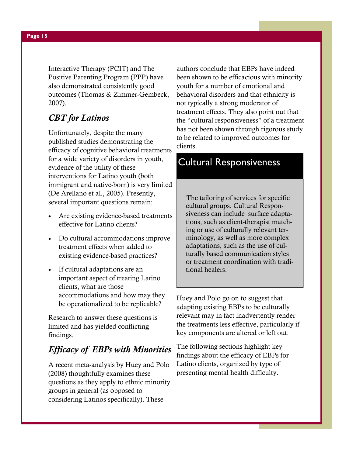Interactive Therapy (PCIT) and The Positive Parenting Program (PPP) have also demonstrated consistently good outcomes (Thomas & Zimmer-Gembeck, 2007).

### CBT for Latinos

Unfortunately, despite the many published studies demonstrating the efficacy of cognitive behavioral treatments for a wide variety of disorders in youth, evidence of the utility of these interventions for Latino youth (both immigrant and native-born) is very limited (De Arellano et al., 2005). Presently, several important questions remain:

- Are existing evidence-based treatments effective for Latino clients?
- Do cultural accommodations improve treatment effects when added to existing evidence-based practices?
- If cultural adaptations are an important aspect of treating Latino clients, what are those accommodations and how may they be operationalized to be replicable?

Research to answer these questions is limited and has yielded conflicting findings.

### Efficacy of EBPs with Minorities

A recent meta-analysis by Huey and Polo (2008) thoughtfully examines these questions as they apply to ethnic minority groups in general (as opposed to considering Latinos specifically). These

authors conclude that EBPs have indeed been shown to be efficacious with minority youth for a number of emotional and behavioral disorders and that ethnicity is not typically a strong moderator of treatment effects. They also point out that the "cultural responsiveness" of a treatment has not been shown through rigorous study to be related to improved outcomes for clients.

## Cultural Responsiveness

The tailoring of services for specific cultural groups. Cultural Responsiveness can include surface adaptations, such as client-therapist matching or use of culturally relevant terminology, as well as more complex adaptations, such as the use of culturally based communication styles or treatment coordination with traditional healers.

Huey and Polo go on to suggest that adapting existing EBPs to be culturally relevant may in fact inadvertently render the treatments less effective, particularly if key components are altered or left out.

The following sections highlight key findings about the efficacy of EBPs for Latino clients, organized by type of presenting mental health difficulty.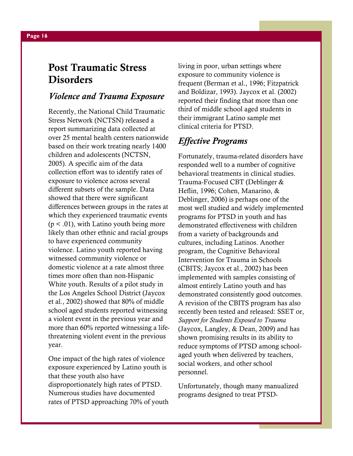## Post Traumatic Stress **Disorders**

#### Violence and Trauma Exposure

Recently, the National Child Traumatic Stress Network (NCTSN) released a report summarizing data collected at over 25 mental health centers nationwide based on their work treating nearly 1400 children and adolescents (NCTSN, 2005). A specific aim of the data collection effort was to identify rates of exposure to violence across several different subsets of the sample. Data showed that there were significant differences between groups in the rates at which they experienced traumatic events  $(p < .01)$ , with Latino youth being more likely than other ethnic and racial groups to have experienced community violence. Latino youth reported having witnessed community violence or domestic violence at a rate almost three times more often than non-Hispanic White youth. Results of a pilot study in the Los Angeles School District (Jaycox et al., 2002) showed that 80% of middle school aged students reported witnessing a violent event in the previous year and more than 60% reported witnessing a lifethreatening violent event in the previous year.

One impact of the high rates of violence exposure experienced by Latino youth is that these youth also have disproportionately high rates of PTSD. Numerous studies have documented rates of PTSD approaching 70% of youth living in poor, urban settings where exposure to community violence is frequent (Berman et al., 1996; Fitzpatrick and Boldizar, 1993). Jaycox et al. (2002) reported their finding that more than one third of middle school aged students in their immigrant Latino sample met clinical criteria for PTSD.

#### Effective Programs

Fortunately, trauma-related disorders have responded well to a number of cognitive behavioral treatments in clinical studies. Trauma-Focused CBT (Deblinger & Heflin, 1996; Cohen, Manarino, & Deblinger, 2006) is perhaps one of the most well studied and widely implemented programs for PTSD in youth and has demonstrated effectiveness with children from a variety of backgrounds and cultures, including Latinos. Another program, the Cognitive Behavioral Intervention for Trauma in Schools (CBITS; Jaycox et al., 2002) has been implemented with samples consisting of almost entirely Latino youth and has demonstrated consistently good outcomes. A revision of the CBITS program has also recently been tested and released: SSET or, Support for Students Exposed to Trauma (Jaycox, Langley, & Dean, 2009) and has shown promising results in its ability to reduce symptoms of PTSD among schoolaged youth when delivered by teachers, social workers, and other school personnel.

Unfortunately, though many manualized programs designed to treat PTSD-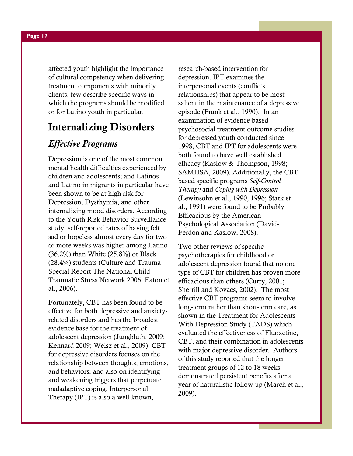affected youth highlight the importance of cultural competency when delivering treatment components with minority clients, few describe specific ways in which the programs should be modified or for Latino youth in particular.

### Internalizing Disorders

#### Effective Programs

Depression is one of the most common mental health difficulties experienced by children and adolescents; and Latinos and Latino immigrants in particular have been shown to be at high risk for Depression, Dysthymia, and other internalizing mood disorders. According to the Youth Risk Behavior Surveillance study, self-reported rates of having felt sad or hopeless almost every day for two or more weeks was higher among Latino  $(36.2\%)$  than White  $(25.8\%)$  or Black (28.4%) students (Culture and Trauma Special Report The National Child Traumatic Stress Network 2006; Eaton et al., 2006).

Fortunately, CBT has been found to be effective for both depressive and anxietyrelated disorders and has the broadest evidence base for the treatment of adolescent depression (Jungbluth, 2009; Kennard 2009; Weisz et al., 2009). CBT for depressive disorders focuses on the relationship between thoughts, emotions, and behaviors; and also on identifying and weakening triggers that perpetuate maladaptive coping. Interpersonal Therapy (IPT) is also a well-known,

research-based intervention for depression. IPT examines the interpersonal events (conflicts, relationships) that appear to be most salient in the maintenance of a depressive episode (Frank et al., 1990). In an examination of evidence-based psychosocial treatment outcome studies for depressed youth conducted since 1998, CBT and IPT for adolescents were both found to have well established efficacy (Kaslow & Thompson, 1998; SAMHSA, 2009). Additionally, the CBT based specific programs Self-Control Therapy and Coping with Depression (Lewinsohn et al., 1990, 1996; Stark et al., 1991) were found to be Probably Efficacious by the American Psychological Association (David-Ferdon and Kaslow, 2008).

Two other reviews of specific psychotherapies for childhood or adolescent depression found that no one type of CBT for children has proven more efficacious than others (Curry, 2001; Sherrill and Kovacs, 2002). The most effective CBT programs seem to involve long-term rather than short-term care, as shown in the Treatment for Adolescents With Depression Study (TADS) which evaluated the effectiveness of Fluoxetine, CBT, and their combination in adolescents with major depressive disorder. Authors of this study reported that the longer treatment groups of 12 to 18 weeks demonstrated persistent benefits after a year of naturalistic follow-up (March et al., 2009).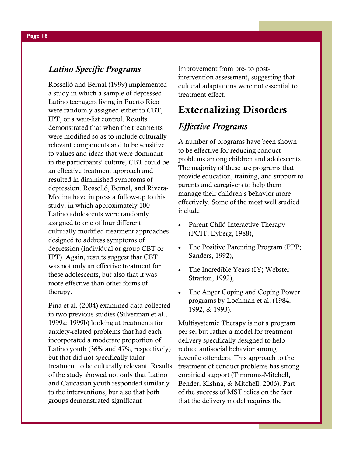#### Latino Specific Programs

Rosselló and Bernal (1999) implemented a study in which a sample of depressed Latino teenagers living in Puerto Rico were randomly assigned either to CBT, IPT, or a wait-list control. Results demonstrated that when the treatments were modified so as to include culturally relevant components and to be sensitive to values and ideas that were dominant in the participants' culture, CBT could be an effective treatment approach and resulted in diminished symptoms of depression. Rosselló, Bernal, and Rivera-Medina have in press a follow-up to this study, in which approximately 100 Latino adolescents were randomly assigned to one of four different culturally modified treatment approaches designed to address symptoms of depression (individual or group CBT or IPT). Again, results suggest that CBT was not only an effective treatment for these adolescents, but also that it was more effective than other forms of therapy.

Pina et al. (2004) examined data collected in two previous studies (Silverman et al., 1999a; 1999b) looking at treatments for anxiety-related problems that had each incorporated a moderate proportion of Latino youth (36% and 47%, respectively) but that did not specifically tailor treatment to be culturally relevant. Results of the study showed not only that Latino and Caucasian youth responded similarly to the interventions, but also that both groups demonstrated significant

improvement from pre- to postintervention assessment, suggesting that cultural adaptations were not essential to treatment effect.

## Externalizing Disorders

#### Effective Programs

A number of programs have been shown to be effective for reducing conduct problems among children and adolescents. The majority of these are programs that provide education, training, and support to parents and caregivers to help them manage their children's behavior more effectively. Some of the most well studied include

- Parent Child Interactive Therapy (PCIT; Eyberg, 1988),
- The Positive Parenting Program (PPP; Sanders, 1992),
- The Incredible Years (IY; Webster Stratton, 1992),
- The Anger Coping and Coping Power programs by Lochman et al. (1984, 1992, & 1993).

Multisystemic Therapy is not a program per se, but rather a model for treatment delivery specifically designed to help reduce antisocial behavior among juvenile offenders. This approach to the treatment of conduct problems has strong empirical support (Timmons-Mitchell, Bender, Kishna, & Mitchell, 2006). Part of the success of MST relies on the fact that the delivery model requires the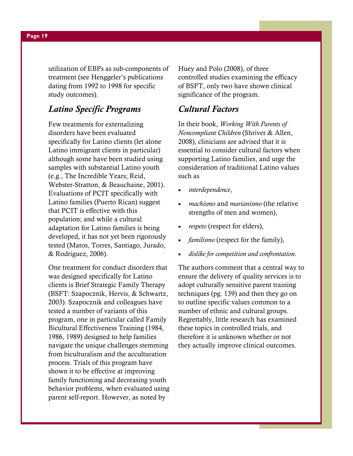utilization of EBPs as sub-components of treatment (see Henggeler's publications dating from 1992 to 1998 for specific study outcomes).

#### Latino Specific Programs

Few treatments for externalizing disorders have been evaluated specifically for Latino clients (let alone Latino immigrant clients in particular) although some have been studied using samples with substantial Latino youth (e.g., The Incredible Years; Reid, Webster-Stratton, & Beauchaine, 2001). Evaluations of PCIT specifically with Latino families (Puerto Rican) suggest that PCIT is effective with this population; and while a cultural adaptation for Latino families is being developed, it has not yet been rigorously tested (Matos, Torres, Santiago, Jurado, & Rodriguez, 2006).

One treatment for conduct disorders that was designed specifically for Latino clients is Brief Strategic Family Therapy (BSFT: Szapocznik, Hervis, & Schwartz, 2003). Szapocznik and colleagues have tested a number of variants of this program, one in particular called Family Bicultural Effectiveness Training (1984, 1986, 1989) designed to help families navigate the unique challenges stemming from biculturalism and the acculturation process. Trials of this program have shown it to be effective at improving family functioning and decreasing youth behavior problems, when evaluated using parent self-report. However, as noted by

Huey and Polo (2008), of three controlled studies examining the efficacy of BSFT, only two have shown clinical significance of the program.

#### Cultural Factors

In their book, Working With Parents of Noncompliant Children (Shriver & Allen, 2008), clinicians are advised that it is essential to consider cultural factors when supporting Latino families, and urge the consideration of traditional Latino values such as

- interdependence,
- machismo and marianismo (the relative strengths of men and women),
- respeto (respect for elders),
- familismo (respect for the family),
- dislike for competition and confrontation.

The authors comment that a central way to ensure the delivery of quality services is to adopt culturally sensitive parent training techniques (pg. 139) and then they go on to outline specific values common to a number of ethnic and cultural groups. Regrettably, little research has examined these topics in controlled trials, and therefore it is unknown whether or not they actually improve clinical outcomes.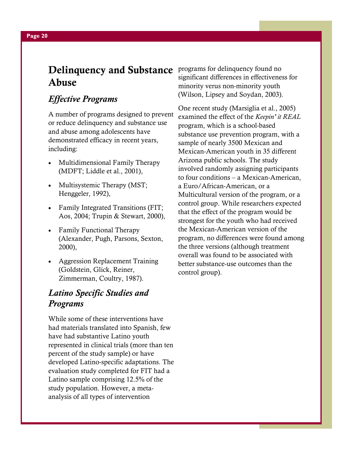## **Delinquency and Substance** programs for delinquency found no Abuse

#### Effective Programs

A number of programs designed to prevent or reduce delinquency and substance use and abuse among adolescents have demonstrated efficacy in recent years, including:

- Multidimensional Family Therapy (MDFT; Liddle et al., 2001),
- Multisystemic Therapy (MST; Henggeler, 1992),
- Family Integrated Transitions (FIT; Aos, 2004; Trupin & Stewart, 2000),
- Family Functional Therapy (Alexander, Pugh, Parsons, Sexton, 2000),
- Aggression Replacement Training (Goldstein, Glick, Reiner, Zimmerman, Coultry, 1987).

### Latino Specific Studies and Programs

While some of these interventions have had materials translated into Spanish, few have had substantive Latino youth represented in clinical trials (more than ten percent of the study sample) or have developed Latino-specific adaptations. The evaluation study completed for FIT had a Latino sample comprising 12.5% of the study population. However, a metaanalysis of all types of intervention

significant differences in effectiveness for minority verus non-minority youth (Wilson, Lipsey and Soydan, 2003).

One recent study (Marsiglia et al., 2005) examined the effect of the Keepin' it REAL program, which is a school-based substance use prevention program, with a sample of nearly 3500 Mexican and Mexican-American youth in 35 different Arizona public schools. The study involved randomly assigning participants to four conditions – a Mexican-American, a Euro/African-American, or a Multicultural version of the program, or a control group. While researchers expected that the effect of the program would be strongest for the youth who had received the Mexican-American version of the program, no differences were found among the three versions (although treatment overall was found to be associated with better substance-use outcomes than the control group).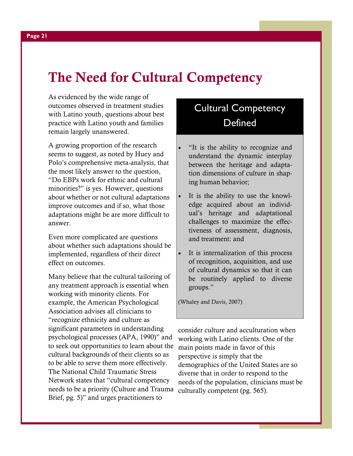## The Need for Cultural Competency

As evidenced by the wide range of outcomes observed in treatment studies with Latino youth, questions about best practice with Latino youth and families remain largely unanswered.

A growing proportion of the research seems to suggest, as noted by Huey and Polo's comprehensive meta-analysis, that the most likely answer to the question, "Do EBPs work for ethnic and cultural minorities?" is yes. However, questions about whether or not cultural adaptations improve outcomes and if so, what those adaptations might be are more difficult to answer.

Even more complicated are questions about whether such adaptations should be implemented, regardless of their direct effect on outcomes.

Many believe that the cultural tailoring of any treatment approach is essential when working with minority clients. For example, the American Psychological Association advises all clinicians to "recognize ethnicity and culture as significant parameters in understanding psychological processes (APA, 1990)" and to seek out opportunities to learn about the cultural backgrounds of their clients so as to be able to serve them more effectively. The National Child Traumatic Stress Network states that "cultural competency needs to be a priority (Culture and Trauma Brief, pg. 5)" and urges practitioners to

## Cultural Competency **Defined**

- "It is the ability to recognize and understand the dynamic interplay between the heritage and adaptation dimensions of culture in shaping human behavior;
- It is the ability to use the knowledge acquired about an individual's heritage and adaptational challenges to maximize the effectiveness of assessment, diagnosis, and treatment: and
- It is internalization of this process of recognition, acquisition, and use of cultural dynamics so that it can be routinely applied to diverse groups."

(Whaley and Davis, 2007)

consider culture and acculturation when working with Latino clients. One of the main points made in favor of this perspective is simply that the demographics of the United States are so diverse that in order to respond to the needs of the population, clinicians must be culturally competent (pg. 565).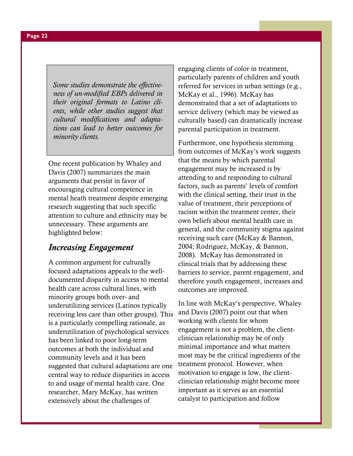Some studies demonstrate the effectiveness of un-modified EBPs delivered in their original formats to Latino clients, while other studies suggest that cultural modifications and adaptations can lead to better outcomes for minority clients.

One recent publication by Whaley and Davis (2007) summarizes the main arguments that persist in favor of encouraging cultural competence in mental heath treatment despite emerging research suggesting that such specific attention to culture and ethnicity may be unnecessary. These arguments are highlighted below:

#### Increasing Engagement

A common argument for culturally focused adaptations appeals to the welldocumented disparity in access to mental health care across cultural lines, with minority groups both over- and underutilizing services (Latinos typically receiving less care than other groups). This is a particularly compelling rationale, as underutilization of psychological services has been linked to poor long-term outcomes at both the individual and community levels and it has been suggested that cultural adaptations are one central way to reduce disparities in access to and usage of mental health care. One researcher, Mary McKay, has written extensively about the challenges of

engaging clients of color in treatment, particularly parents of children and youth referred for services in urban settings (e.g., McKay et al., 1996). McKay has demonstrated that a set of adaptations to service delivery (which may be viewed as culturally based) can dramatically increase parental participation in treatment.

Furthermore, one hypothesis stemming from outcomes of McKay's work suggests that the means by which parental engagement may be increased is by attending to and responding to cultural factors, such as parents' levels of comfort with the clinical setting, their trust in the value of treatment, their perceptions of racism within the treatment center, their own beliefs about mental health care in general, and the community stigma against receiving such care (McKay & Bannon, 2004; Rodriguez, McKay, & Bannon, 2008). McKay has demonstrated in clinical trials that by addressing these barriers to service, parent engagement, and therefore youth engagement, increases and outcomes are improved.

In line with McKay's perspective, Whaley and Davis (2007) point out that when working with clients for whom engagement is not a problem, the clientclinician relationship may be of only minimal importance and what matters most may be the critical ingredients of the treatment protocol. However, when motivation to engage is low, the clientclinician relationship might become more important as it serves as an essential catalyst to participation and follow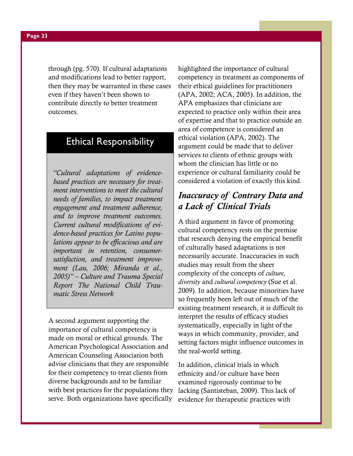through (pg. 570). If cultural adaptations and modifications lead to better rapport, then they may be warranted in these cases even if they haven't been shown to contribute directly to better treatment outcomes.

## Ethical Responsibility

"Cultural adaptations of evidencebased practices are necessary for treatment interventions to meet the cultural needs of families, to impact treatment engagement and treatment adherence, and to improve treatment outcomes. Current cultural modifications of evidence-based practices for Latino populations appear to be efficacious and are important in retention, consumersatisfaction, and treatment improvement (Lau, 2006; Miranda et al., 2005)" – Culture and Trauma Special Report The National Child Traumatic Stress Network

A second argument supporting the importance of cultural competency is made on moral or ethical grounds. The American Psychological Association and American Counseling Association both advise clinicians that they are responsible for their competency to treat clients from diverse backgrounds and to be familiar with best practices for the populations they serve. Both organizations have specifically

highlighted the importance of cultural competency in treatment as components of their ethical guidelines for practitioners (APA, 2002; ACA, 2005). In addition, the APA emphasizes that clinicians are expected to practice only within their area of expertise and that to practice outside an area of competence is considered an ethical violation (APA, 2002). The argument could be made that to deliver services to clients of ethnic groups with whom the clinician has little or no experience or cultural familiarity could be considered a violation of exactly this kind.

#### Inaccuracy of Contrary Data and a Lack of Clinical Trials

A third argument in favor of promoting cultural competency rests on the premise that research denying the empirical benefit of culturally based adaptations is not necessarily accurate. Inaccuracies in such studies may result from the sheer complexity of the concepts of culture, diversity and cultural competency (Sue et al. 2009). In addition, because minorities have so frequently been left out of much of the existing treatment research, it is difficult to interpret the results of efficacy studies systematically, especially in light of the ways in which community, provider, and setting factors might influence outcomes in the real-world setting.

In addition, clinical trials in which ethnicity and/or culture have been examined rigorously continue to be lacking (Santisteban, 2009). This lack of evidence for therapeutic practices with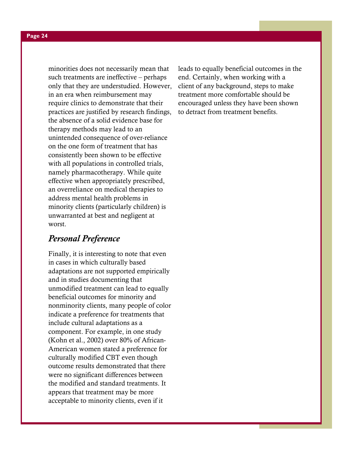minorities does not necessarily mean that such treatments are ineffective – perhaps only that they are understudied. However, in an era when reimbursement may require clinics to demonstrate that their practices are justified by research findings, the absence of a solid evidence base for therapy methods may lead to an unintended consequence of over-reliance on the one form of treatment that has consistently been shown to be effective with all populations in controlled trials, namely pharmacotherapy. While quite effective when appropriately prescribed, an overreliance on medical therapies to address mental health problems in minority clients (particularly children) is unwarranted at best and negligent at worst.

#### Personal Preference

Finally, it is interesting to note that even in cases in which culturally based adaptations are not supported empirically and in studies documenting that unmodified treatment can lead to equally beneficial outcomes for minority and nonminority clients, many people of color indicate a preference for treatments that include cultural adaptations as a component. For example, in one study (Kohn et al., 2002) over 80% of African-American women stated a preference for culturally modified CBT even though outcome results demonstrated that there were no significant differences between the modified and standard treatments. It appears that treatment may be more acceptable to minority clients, even if it

leads to equally beneficial outcomes in the end. Certainly, when working with a client of any background, steps to make treatment more comfortable should be encouraged unless they have been shown to detract from treatment benefits.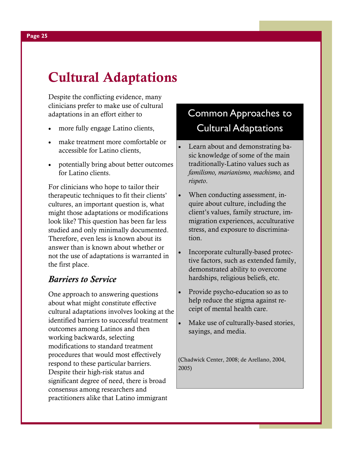# Cultural Adaptations

Despite the conflicting evidence, many clinicians prefer to make use of cultural adaptations in an effort either to

- more fully engage Latino clients,
- make treatment more comfortable or accessible for Latino clients,
- potentially bring about better outcomes for Latino clients.

For clinicians who hope to tailor their therapeutic techniques to fit their clients' cultures, an important question is, what might those adaptations or modifications look like? This question has been far less studied and only minimally documented. Therefore, even less is known about its answer than is known about whether or not the use of adaptations is warranted in the first place.

#### Barriers to Service

One approach to answering questions about what might constitute effective cultural adaptations involves looking at the identified barriers to successful treatment outcomes among Latinos and then working backwards, selecting modifications to standard treatment procedures that would most effectively respond to these particular barriers. Despite their high-risk status and significant degree of need, there is broad consensus among researchers and practitioners alike that Latino immigrant

## Common Approaches to Cultural Adaptations

- Learn about and demonstrating basic knowledge of some of the main traditionally-Latino values such as familismo, marianismo, machismo, and rispeto.
- When conducting assessment, inquire about culture, including the client's values, family structure, immigration experiences, acculturative stress, and exposure to discrimination.
- Incorporate culturally-based protective factors, such as extended family, demonstrated ability to overcome hardships, religious beliefs, etc.
- Provide psycho-education so as to help reduce the stigma against receipt of mental health care.
- Make use of culturally-based stories, sayings, and media.

(Chadwick Center, 2008; de Arellano, 2004, 2005)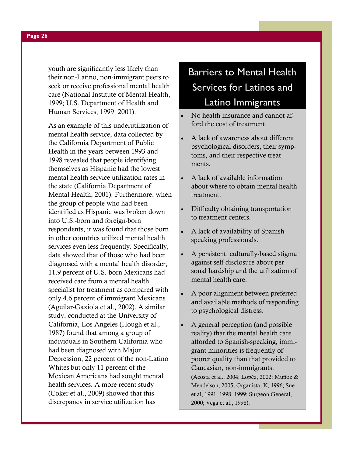youth are significantly less likely than their non-Latino, non-immigrant peers to seek or receive professional mental health care (National Institute of Mental Health, 1999; U.S. Department of Health and Human Services, 1999, 2001).

As an example of this underutilization of mental health service, data collected by the California Department of Public Health in the years between 1993 and 1998 revealed that people identifying themselves as Hispanic had the lowest mental health service utilization rates in the state (California Department of Mental Health, 2001). Furthermore, when the group of people who had been identified as Hispanic was broken down into U.S.-born and foreign-born respondents, it was found that those born in other countries utilized mental health services even less frequently. Specifically, data showed that of those who had been diagnosed with a mental health disorder, 11.9 percent of U.S.-born Mexicans had received care from a mental health specialist for treatment as compared with only 4.6 percent of immigrant Mexicans (Aguilar-Gaxiola et al., 2002). A similar study, conducted at the University of California, Los Angeles (Hough et al., 1987) found that among a group of individuals in Southern California who had been diagnosed with Major Depression, 22 percent of the non-Latino Whites but only 11 percent of the Mexican Americans had sought mental health services. A more recent study (Coker et al., 2009) showed that this discrepancy in service utilization has

## Barriers to Mental Health Services for Latinos and Latino Immigrants

- No health insurance and cannot afford the cost of treatment.
- A lack of awareness about different psychological disorders, their symptoms, and their respective treatments.
- A lack of available information about where to obtain mental health treatment.
- Difficulty obtaining transportation to treatment centers.
- A lack of availability of Spanishspeaking professionals.
- A persistent, culturally-based stigma against self-disclosure about personal hardship and the utilization of mental health care.
- A poor alignment between preferred and available methods of responding to psychological distress.
- A general perception (and possible reality) that the mental health care afforded to Spanish-speaking, immigrant minorities is frequently of poorer quality than that provided to Caucasian, non-immigrants. (Acosta et al., 2004; Lopéz, 2002; Muñoz & Mendelson, 2005; Organista, K, 1996; Sue et al, 1991, 1998, 1999; Surgeon General, 2000; Vega et al., 1998).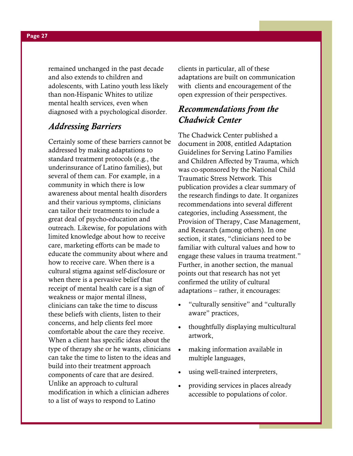remained unchanged in the past decade and also extends to children and adolescents, with Latino youth less likely than non-Hispanic Whites to utilize mental health services, even when diagnosed with a psychological disorder.

#### Addressing Barriers

Certainly some of these barriers cannot be addressed by making adaptations to standard treatment protocols (e.g., the underinsurance of Latino families), but several of them can. For example, in a community in which there is low awareness about mental health disorders and their various symptoms, clinicians can tailor their treatments to include a great deal of psycho-education and outreach. Likewise, for populations with limited knowledge about how to receive care, marketing efforts can be made to educate the community about where and how to receive care. When there is a cultural stigma against self-disclosure or when there is a pervasive belief that receipt of mental health care is a sign of weakness or major mental illness, clinicians can take the time to discuss these beliefs with clients, listen to their concerns, and help clients feel more comfortable about the care they receive. When a client has specific ideas about the type of therapy she or he wants, clinicians can take the time to listen to the ideas and build into their treatment approach components of care that are desired. Unlike an approach to cultural modification in which a clinician adheres to a list of ways to respond to Latino

clients in particular, all of these adaptations are built on communication with clients and encouragement of the open expression of their perspectives.

#### Recommendations from the Chadwick Center

The Chadwick Center published a document in 2008, entitled Adaptation Guidelines for Serving Latino Families and Children Affected by Trauma, which was co-sponsored by the National Child Traumatic Stress Network. This publication provides a clear summary of the research findings to date. It organizes recommendations into several different categories, including Assessment, the Provision of Therapy, Case Management, and Research (among others). In one section, it states, "clinicians need to be familiar with cultural values and how to engage these values in trauma treatment." Further, in another section, the manual points out that research has not yet confirmed the utility of cultural adaptations – rather, it encourages:

- "culturally sensitive" and "culturally aware" practices,
- thoughtfully displaying multicultural artwork,
- making information available in multiple languages,
- using well-trained interpreters,
- providing services in places already accessible to populations of color.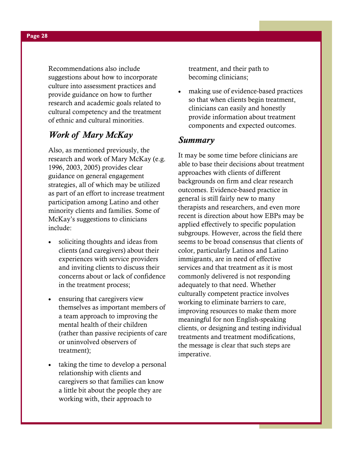Recommendations also include suggestions about how to incorporate culture into assessment practices and provide guidance on how to further research and academic goals related to cultural competency and the treatment of ethnic and cultural minorities.

#### Work of Mary McKay

Also, as mentioned previously, the research and work of Mary McKay (e.g. 1996, 2003, 2005) provides clear guidance on general engagement strategies, all of which may be utilized as part of an effort to increase treatment participation among Latino and other minority clients and families. Some of McKay's suggestions to clinicians include:

- soliciting thoughts and ideas from clients (and caregivers) about their experiences with service providers and inviting clients to discuss their concerns about or lack of confidence in the treatment process;
- ensuring that caregivers view themselves as important members of a team approach to improving the mental health of their children (rather than passive recipients of care or uninvolved observers of treatment);
- taking the time to develop a personal relationship with clients and caregivers so that families can know a little bit about the people they are working with, their approach to

treatment, and their path to becoming clinicians;

making use of evidence-based practices so that when clients begin treatment, clinicians can easily and honestly provide information about treatment components and expected outcomes.

#### Summary

It may be some time before clinicians are able to base their decisions about treatment approaches with clients of different backgrounds on firm and clear research outcomes. Evidence-based practice in general is still fairly new to many therapists and researchers, and even more recent is direction about how EBPs may be applied effectively to specific population subgroups. However, across the field there seems to be broad consensus that clients of color, particularly Latinos and Latino immigrants, are in need of effective services and that treatment as it is most commonly delivered is not responding adequately to that need. Whether culturally competent practice involves working to eliminate barriers to care, improving resources to make them more meaningful for non English-speaking clients, or designing and testing individual treatments and treatment modifications, the message is clear that such steps are imperative.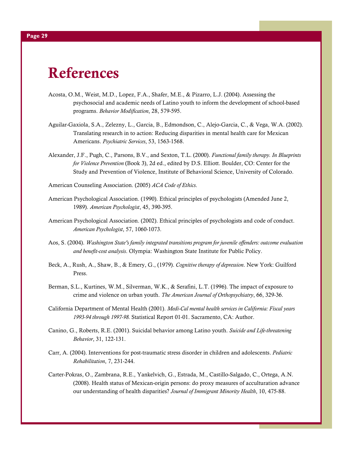# References

- Acosta, O.M., Weist, M.D., Lopez, F.A., Shafer, M.E., & Pizarro, L.J. (2004). Assessing the psychosocial and academic needs of Latino youth to inform the development of school-based programs. Behavior Modification, 28, 579-595.
- Aguilar-Gaxiola, S.A., Zelezny, L., Garcia, B., Edmondson, C., Alejo-Garcia, C., & Vega, W.A. (2002). Translating research in to action: Reducing disparities in mental health care for Mexican Americans. Psychiatric Services, 53, 1563-1568.
- Alexander, J.F., Pugh, C., Parsons, B.V., and Sexton, T.L. (2000). Functional family therapy. In Blueprints for Violence Prevention (Book 3), 2d ed., edited by D.S. Elliott. Boulder, CO: Center for the Study and Prevention of Violence, Institute of Behavioral Science, University of Colorado.
- American Counseling Association. (2005) ACA Code of Ethics.
- American Psychological Association. (1990). Ethical principles of psychologists (Amended June 2, 1989). American Psychologist, 45, 390-395.
- American Psychological Association. (2002). Ethical principles of psychologists and code of conduct. American Psychologist, 57, 1060-1073.
- Aos, S. (2004). Washington State's family integrated transitions program for juvenile offenders: outcome evaluation and benefit-cost analysis. Olympia: Washington State Institute for Public Policy.
- Beck, A., Rush, A., Shaw, B., & Emery, G., (1979). Cognitive therapy of depression. New York: Guilford Press.
- Berman, S.L., Kurtines, W.M., Silverman, W.K., & Serafini, L.T. (1996). The impact of exposure to crime and violence on urban youth. The American Journal of Orthopsychiatry, 66, 329-36.
- California Department of Mental Health (2001). Medi-Cal mental health services in California: Fiscal years 1993-94 through 1997-98. Statistical Report 01-01. Sacramento, CA: Author.
- Canino, G., Roberts, R.E. (2001). Suicidal behavior among Latino youth. Suicide and Life-threatening Behavior, 31, 122-131.
- Carr, A. (2004). Interventions for post-traumatic stress disorder in children and adolescents. Pediatric Rehabilitation, 7, 231-244.
- Carter-Pokras, O., Zambrana, R.E., Yankelvich, G., Estrada, M., Castillo-Salgado, C., Ortega, A.N. (2008). Health status of Mexican-origin persons: do proxy measures of acculturation advance our understanding of health disparities? Journal of Immigrant Minority Health, 10, 475-88.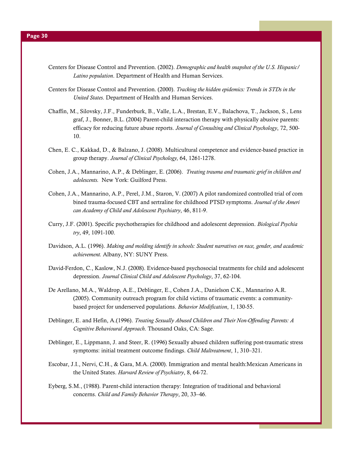- Centers for Disease Control and Prevention. (2002). Demographic and health snapshot of the U.S. Hispanic/ Latino population. Department of Health and Human Services.
- Centers for Disease Control and Prevention. (2000). Tracking the hidden epidemics: Trends in STDs in the United States. Department of Health and Human Services.
- Chaffin, M., Silovsky, J.F., Funderburk, B., Valle, L.A., Brestan, E.V., Balachova, T., Jackson, S., Lens graf, J., Bonner, B.L. (2004) Parent-child interaction therapy with physically abusive parents: efficacy for reducing future abuse reports. Journal of Consulting and Clinical Psychology, 72, 500- 10.
- Chen, E. C., Kakkad, D., & Balzano, J. (2008). Multicultural competence and evidence-based practice in group therapy. Journal of Clinical Psychology, 64, 1261-1278.
- Cohen, J.A., Mannarino, A.P., & Deblinger, E. (2006). Treating trauma and traumatic grief in children and adolescents. New York: Guilford Press.
- Cohen, J.A., Mannarino, A.P., Perel, J.M., Staron, V. (2007) A pilot randomized controlled trial of com bined trauma-focused CBT and sertraline for childhood PTSD symptoms. Journal of the Ameri can Academy of Child and Adolescent Psychiatry, 46, 811-9.
- Curry, J.F. (2001). Specific psychotherapies for childhood and adolescent depression. Biological Psychia try, 49, 1091-100.
- Davidson, A.L. (1996). Making and molding identify in schools: Student narratives on race, gender, and academic achievement. Albany, NY: SUNY Press.
- David-Ferdon, C., Kaslow, N.J. (2008). Evidence-based psychosocial treatments for child and adolescent depression. Journal Clinical Child and Adolescent Psychology, 37, 62-104.
- De Arellano, M.A., Waldrop, A.E., Deblinger, E., Cohen J.A., Danielson C.K., Mannarino A.R. (2005). Community outreach program for child victims of traumatic events: a community based project for underserved populations. Behavior Modification, 1, 130-55.
- Deblinger, E. and Hefin, A.(1996). Treating Sexually Abused Children and Their Non-Offending Parents: A Cognitive Behavioural Approach. Thousand Oaks, CA: Sage.
- Deblinger, E., Lippmann, J. and Steer, R. (1996) Sexually abused children suffering post-traumatic stress symptoms: initial treatment outcome findings. Child Maltreatment, 1, 310–321.
- Escobar, J.I., Nervi, C.H., & Gara, M.A. (2000). Immigration and mental health:Mexican Americans in the United States. Harvard Review of Psychiatry, 8, 64-72.
- Eyberg, S.M., (1988). Parent-child interaction therapy: Integration of traditional and behavioral concerns. Child and Family Behavior Therapy, 20, 33–46.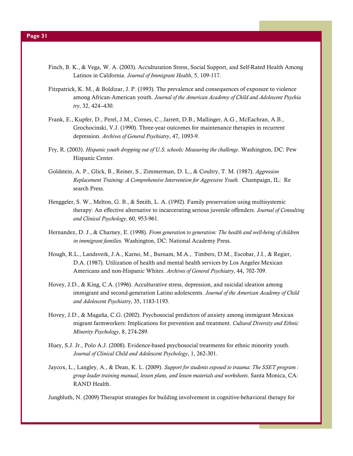- Finch, B. K., & Vega, W. A. (2003). Acculturation Stress, Social Support, and Self-Rated Health Among Latinos in California. Journal of Immigrant Health, 5, 109-117.
- Fitzpatrick, K. M., & Boldizar, J. P. (1993). The prevalence and consequences of exposure to violence among African-American youth. Journal of the American Academy of Child and Adolescent Psychia try, 32, 424--430.
- Frank, E., Kupfer, D., Perel, J.M., Cornes, C., Jarrett, D.B., Mallinger, A.G., McEachran, A.B., Grochocinski, V.J. (1990). Three-year outcomes for maintenance therapies in recurrent depression. Archives of General Psychiatry, 47, 1093-9.
- Fry, R. (2003). Hispanic youth dropping out of U.S. schools: Measuring the challenge. Washington, DC: Pew Hispanic Center.
- Goldstein, A. P., Glick, B., Reiner, S., Zimmerman, D. L., & Coultry, T. M. (1987). Aggression Replacement Training: A Comprehensive Intervention for Aggressive Youth. Champaign, IL: Re search Press.
- Henggeler, S. W., Melton, G. B., & Smith, L. A. (1992). Family preservation using multisystemic therapy: An effective alternative to incarcerating serious juvenile offenders. Journal of Consulting and Clinical Psychology, 60, 953-961.
- Hernandez, D. J., & Charney, E. (1998). From generation to generation: The health and well-being of children in immigrant families. Washington, DC: National Academy Press.
- Hough, R.L., Landsverk, J.A., Karno, M., Burnam, M.A., Timbers, D.M., Escobar, J.I., & Regier, D.A. (1987). Utilization of health and mental health services by Los Angeles Mexican Americans and non-Hispanic Whites. Archives of General Psychiatry, 44, 702-709.
- Hovey, J.D., & King, C.A. (1996). Acculturative stress, depression, and suicidal ideation among immigrant and second-generation Latino adolescents. Journal of the American Academy of Child and Adolescent Psychiatry, 35, 1183-1193.
- Hovey, J.D., & Magaña, C.G. (2002). Psychosocial predictors of anxiety among immigrant Mexican migrant farmworkers: Implications for prevention and treatment. Cultural Diversity and Ethnic Minority Psychology, 8, 274-289.
- Huey, S.J. Jr., Polo A.J. (2008). Evidence-based psychosocial treatments for ethnic minority youth. Journal of Clinical Child and Adolescent Psychology, 1, 262-301.
- Jaycox, L., Langley, A., & Dean, K. L. (2009). Support for students exposed to trauma: The SSET program : group leader training manual, lesson plans, and lesson materials and worksheets. Santa Monica, CA: RAND Health.

Jungbluth, N. (2009) Therapist strategies for building involvement in cognitive-behavioral therapy for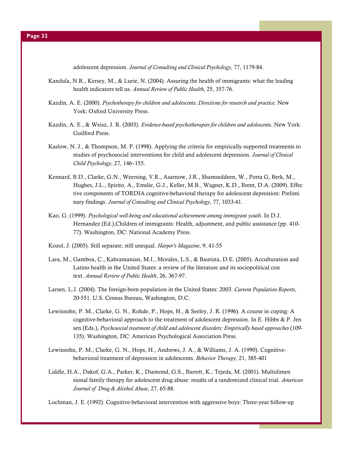adolescent depression. Journal of Consulting and Clinical Psychology, 77, 1179-84.

- Kandula, N.R., Kersey, M., & Lurie, N. (2004). Assuring the health of immigrants: what the leading health indicators tell us. Annual Review of Public Health, 25, 357-76.
- Kazdin, A. E. (2000). Psychotherapy for children and adolescents: Directions for research and practice. New York: Oxford University Press.
- Kazdin, A. E., & Weisz, J. R. (2003). Evidence-based psychotherapies for children and adolescents. New York: Guilford Press.
- Kaslow, N. J., & Thompson, M. P. (1998). Applying the criteria for empirically supported treatments to studies of psychosocial interventions for child and adolescent depression. Journal of Clinical Child Psychology, 27, 146–155.
- Kennard, B.D., Clarke, G.N., Weersing, V.R., Asarnow, J.R., Shamseddeen, W., Porta G, Berk, M., Hughes, J.L., Spirito, A., Emslie, G.J., Keller, M.B., Wagner, K.D., Brent, D.A. (2009). Effec tive components of TORDIA cognitive-behavioral therapy for adolescent depression: Prelimi nary findings. Journal of Consulting and Clinical Psychology, 77, 1033-41.
- Kao, G. (1999). Psychological well-being and educational achievement among immigrant youth. In D.J. Hernandez (Ed.),Children of immigrants: Health, adjustment, and public assistance (pp. 410- 77). Washington, DC: National Academy Press.
- Kozol, J. (2005). Still separate, still unequal. Harper's Magazine, 9, 41-55
- Lara, M., Gamboa, C., Kahramanian, M.I., Morales, L.S., & Bautista, D.E. (2005). Acculturation and Latino health in the United States: a review of the literature and its sociopolitical con text. Annual Review of Public Health, 26, 367-97.
- Larsen, L.J. (2004). The foreign-born population in the United States: 2003. Current Population Reports, 20-551. U.S. Census Bureau, Washington, D.C.
- Lewinsohn, P. M., Clarke, G. N., Rohde, P., Hops, H., & Seeley, J. R. (1996). A course in coping: A cognitive-behavioral approach to the treatment of adolescent depression. In E. Hibbs & P. Jen sen (Eds.), Psychosocial treatment of child and adolescent disorders: Empirically based approaches (109- 135). Washington, DC: American Psychological Association Press.
- Lewinsohn, P. M., Clarke, G. N., Hops, H., Andrews, J. A., & Williams, J. A. (1990). Cognitive behavioral treatment of depression in adolescents. Behavior Therapy, 21, 385-401
- Liddle, H.A., Dakof, G.A., Parker, K., Diamond, G.S., Barrett, K., Tejeda, M. (2001). Multidimen sional family therapy for adolescent drug abuse: results of a randomized clinical trial. American Journal of Drug & Alcohol Abuse, 27, 65-88.

Lochman, J. E. (1992). Cognitive-behavioral intervention with aggressive boys: Three-year follow-up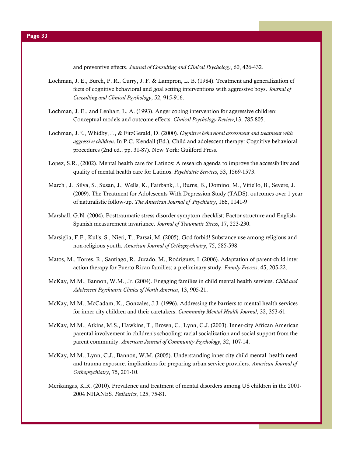and preventive effects. Journal of Consulting and Clinical Psychology, 60, 426-432.

- Lochman, J. E., Burch, P. R., Curry, J. F. & Lampron, L. B. (1984). Treatment and generalization ef fects of cognitive behavioral and goal setting interventions with aggressive boys. Journal of Consulting and Clinical Psychology, 52, 915-916.
- Lochman, J. E., and Lenhart, L. A. (1993). Anger coping intervention for aggressive children; Conceptual models and outcome effects. Clinical Psychology Review,13, 785-805.
- Lochman, J.E., Whidby, J., & FitzGerald, D. (2000). Cognitive behavioral assessment and treatment with aggressive children. In P.C. Kendall (Ed.), Child and adolescent therapy: Cognitive-behavioral procedures (2nd ed., pp. 31-87). New York: Guilford Press.
- Lopez, S.R., (2002). Mental health care for Latinos: A research agenda to improve the accessibility and quality of mental health care for Latinos. Psychiatric Services, 53, 1569-1573.
- March , J., Silva, S., Susan, J., Wells, K., Fairbank, J., Burns, B., Domino, M., Vitiello, B., Severe, J. (2009). The Treatment for Adolescents With Depression Study (TADS): outcomes over 1 year of naturalistic follow-up. The American Journal of Psychiatry, 166, 1141-9
- Marshall, G.N. (2004). Posttraumatic stress disorder symptom checklist: Factor structure and English- Spanish measurement invariance. Journal of Traumatic Stress, 17, 223-230.
- Marsiglia, F.F., Kulis, S., Nieri, T., Parsai, M. (2005). God forbid! Substance use among religious and non-religious youth. American Journal of Orthopsychiatry, 75, 585-598.
- Matos, M., Torres, R., Santiago, R., Jurado, M., Rodríguez, I. (2006). Adaptation of parent-child inter action therapy for Puerto Rican families: a preliminary study. Family Process, 45, 205-22.
- McKay, M.M., Bannon, W.M., Jr. (2004). Engaging families in child mental health services. Child and Adolescent Psychiatric Clinics of North America, 13, 905-21.
- McKay, M.M., McCadam, K., Gonzales, J.J. (1996). Addressing the barriers to mental health services for inner city children and their caretakers. Community Mental Health Journal, 32, 353-61.
- McKay, M.M., Atkins, M.S., Hawkins, T., Brown, C., Lynn, C.J. (2003). Inner-city African American parental involvement in children's schooling: racial socialization and social support from the parent community. American Journal of Community Psychology, 32, 107-14.
- McKay, M.M., Lynn, C.J., Bannon, W.M. (2005). Understanding inner city child mental health need and trauma exposure: implications for preparing urban service providers. American Journal of Orthopsychiatry, 75, 201-10.
- Merikangas, K.R. (2010). Prevalence and treatment of mental disorders among US children in the 2001- 2004 NHANES. Pediatrics, 125, 75-81.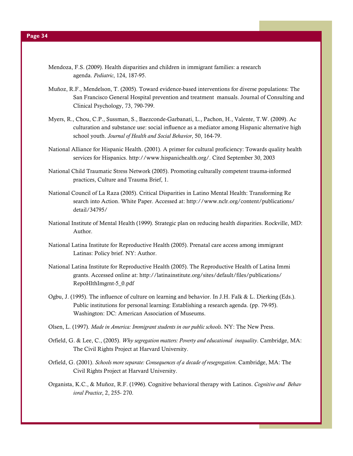- Mendoza, F.S. (2009). Health disparities and children in immigrant families: a research agenda. Pediatric, 124, 187-95.
- Muñoz, R.F., Mendelson, T. (2005). Toward evidence-based interventions for diverse populations: The San Francisco General Hospital prevention and treatment manuals. Journal of Consulting and Clinical Psychology, 73, 790-799.
- Myers, R., Chou, C.P., Sussman, S., Baezconde-Garbanati, L., Pachon, H., Valente, T.W. (2009). Ac culturation and substance use: social influence as a mediator among Hispanic alternative high school youth. Journal of Health and Social Behavior, 50, 164-79.
- National Alliance for Hispanic Health. (2001). A primer for cultural proficiency: Towards quality health services for Hispanics. http://www.hispanichealth.org/. Cited September 30, 2003
- National Child Traumatic Stress Network (2005). Promoting culturally competent trauma-informed practices, Culture and Trauma Brief, 1.
- National Council of La Raza (2005). Critical Disparities in Latino Mental Health: Transforming Re search into Action. White Paper. Accessed at: http://www.nclr.org/content/publications/ detail/34795/
- National Institute of Mental Health (1999). Strategic plan on reducing health disparities. Rockville, MD: Author.
- National Latina Institute for Reproductive Health (2005). Prenatal care access among immigrant Latinas: Policy brief. NY: Author.
- National Latina Institute for Reproductive Health (2005). The Reproductive Health of Latina Immi grants. Accessed online at: http://latinainstitute.org/sites/default/files/publications/ RepoHlthImgrnt-5\_0.pdf
- Ogbu, J. (1995). The influence of culture on learning and behavior. In J.H. Falk & L. Dierking (Eds.). Public institutions for personal learning: Establishing a research agenda. (pp. 79-95). Washington: DC: American Association of Museums.
- Olsen, L. (1997). Made in America: Immigrant students in our public schools. NY: The New Press.
- Orfield, G. & Lee, C., (2005). Why segregation matters: Poverty and educational inequality. Cambridge, MA: The Civil Rights Project at Harvard University.
- Orfield, G. (2001). Schools more separate: Consequences of a decade of resegregation. Cambridge, MA: The Civil Rights Project at Harvard University.
- Organista, K.C., & Muñoz, R.F. (1996). Cognitive behavioral therapy with Latinos. Cognitive and Behav ioral Practice, 2, 255- 270.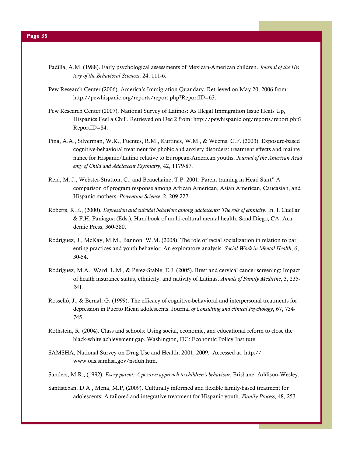- Padilla, A.M. (1988). Early psychological assessments of Mexican-American children. Journal of the His tory of the Behavioral Sciences, 24, 111-6.
- Pew Research Center (2006). America's Immigration Quandary. Retrieved on May 20, 2006 from: http://pewhispanic.org/reports/report.php?ReportID=63.
- Pew Research Center (2007). National Survey of Latinos: As Illegal Immigration Issue Heats Up, Hispanics Feel a Chill. Retrieved on Dec 2 from: http://pewhispanic.org/reports/report.php? ReportID=84.
- Pina, A.A., Silverman, W.K., Fuentes, R.M., Kurtines, W.M., & Weems, C.F. (2003). Exposure-based cognitive-behavioral treatment for phobic and anxiety disorders: treatment effects and mainte nance for Hispanic/Latino relative to European-American youths. Journal of the American Acad emy of Child and Adolescent Psychiatry, 42, 1179-87.
- Reid, M. J., Webster-Stratton, C., and Beauchaine, T.P. 2001. Parent training in Head Start" A comparison of program response among African American, Asian American, Caucasian, and Hispanic mothers. Prevention Science, 2, 209-227.
- Roberts, R.E., (2000). Depression and suicidal behaviors among adolescents: The role of ethnicity. In, I. Cuellar & F.H. Paniagua (Eds.), Handbook of multi-cultural mental health. Sand Diego, CA: Aca demic Press, 360-380.
- Rodriguez, J., McKay, M.M., Bannon, W.M. (2008). The role of racial socialization in relation to par enting practices and youth behavior: An exploratory analysis. Social Work in Mental Health, 6, 30-54.
- Rodríguez, M.A., Ward, L.M., & Pérez-Stable, E.J. (2005). Brest and cervical cancer screening: Impact of health insurance status, ethnicity, and nativity of Latinas. Annals of Family Medicine, 3, 235- 241.
- Rosselló, J., & Bernal, G. (1999). The efficacy of cognitive-behavioral and interpersonal treatments for depression in Puerto Rican adolescents. Journal of Consulting and clinical Psychology, 67, 734- 745.
- Rothstein, R. (2004). Class and schools: Using social, economic, and educational reform to close the black-white achievement gap. Washington, DC: Economic Policy Institute.
- SAMSHA, National Survey on Drug Use and Health, 2001, 2009. Accessed at: http:// www.oas.samhsa.gov/nsduh.htm.
- Sanders, M.R., (1992). Every parent: A positive approach to children's behaviour. Brisbane: Addison-Wesley.
- Santisteban, D.A., Mena, M.P, (2009). Culturally informed and flexible family-based treatment for adolescents: A tailored and integrative treatment for Hispanic youth. Family Process, 48, 253-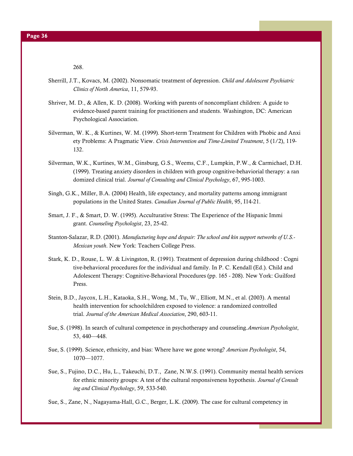268.

- Sherrill, J.T., Kovacs, M. (2002). Nonsomatic treatment of depression. Child and Adolescent Psychiatric Clinics of North America, 11, 579-93.
- Shriver, M. D., & Allen, K. D. (2008). Working with parents of noncompliant children: A guide to evidence-based parent training for practitioners and students. Washington, DC: American Psychological Association.
- Silverman, W. K., & Kurtines, W. M. (1999). Short-term Treatment for Children with Phobic and Anxi ety Problems: A Pragmatic View. Crisis Intervention and Time-Limited Treatment, 5 (1/2), 119- 132.
- Silverman, W.K., Kurtines, W.M., Ginsburg, G.S., Weems, C.F., Lumpkin, P.W., & Carmichael, D.H. (1999). Treating anxiety disorders in children with group cognitive-behaviorial therapy: a ran domized clinical trial. Journal of Consulting and Clinical Psychology, 67, 995-1003.
- Singh, G.K., Miller, B.A. (2004) Health, life expectancy, and mortality patterns among immigrant populations in the United States. Canadian Journal of Public Health, 95, I14-21.
- Smart, J. F., & Smart, D. W. (1995). Acculturative Stress: The Experience of the Hispanic Immi grant. Counseling Psychologist, 23, 25-42.
- Stanton-Salazar, R.D. (2001). Manufacturing hope and despair: The school and kin support networks of U.S.- Mexican youth. New York: Teachers College Press.
- Stark, K. D., Rouse, L. W. & Livingston, R. (1991). Treatment of depression during childhood : Cogni tive-behavioral procedures for the individual and family. In P. C. Kendall (Ed.). Child and Adolescent Therapy: Cognitive-Behavioral Procedures (pp. 165 - 208). New York: Guilford Press.
- Stein, B.D., Jaycox, L.H., Kataoka, S.H., Wong, M., Tu, W., Elliott, M.N., et al. (2003). A mental health intervention for schoolchildren exposed to violence: a randomized controlled trial. Journal of the American Medical Association, 290, 603-11.
- Sue, S. (1998). In search of cultural competence in psychotherapy and counseling.American Psychologist, 53, 440—448.
- Sue, S. (1999). Science, ethnicity, and bias: Where have we gone wrong? American Psychologist, 54, 1070—1077.
- Sue, S., Fujino, D.C., Hu, L., Takeuchi, D.T., Zane, N.W.S. (1991). Community mental health services for ethnic minority groups: A test of the cultural responsiveness hypothesis. Journal of Consult ing and Clinical Psychology, 59, 533-540.
- Sue, S., Zane, N., Nagayama-Hall, G.C., Berger, L.K. (2009). The case for cultural competency in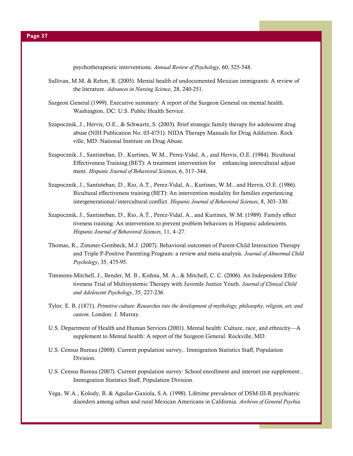psychotherapeutic interventions. Annual Review of Psychology, 60, 525-548.

- Sullivan, M.M. & Rehm, R. (2005). Mental health of undocumented Mexican immigrants: A review of the literature. Advances in Nursing Science, 28, 240-251.
- Surgeon General (1999). Executive summary: A report of the Surgeon General on mental health. Washington, DC: U.S. Public Health Service.
- Szapocznik, J., Hervis, O.E., & Schwartz, S. (2003). Brief strategic family therapy for adolescent drug abuse (NIH Publication No. 03-4751). NIDA Therapy Manuals for Drug Addiction. Rock ville, MD: National Institute on Drug Abuse.
- Szapocznik, J., Santisteban, D., Kurtines, W.M., Perez-Vidal, A., and Hervis, O.E. (1984). Bicultural Effectiveness Training (BET): A treatment intervention for enhancing intercultural adjust ment. Hispanic Journal of Behavioral Sciences, 6, 317–344.
- Szapocznik, J., Santisteban, D., Rio, A.T., Perez-Vidal, A., Kurtines, W.M., and Hervis, O.E. (1986). Bicultural effectiveness training (BET): An intervention modality for families experiencing intergenerational/intercultural conflict. Hispanic Journal of Behavioral Sciences, 8, 303–330.
- Szapocznik, J., Santisteban, D., Rio, A.T., Perez-Vidal, A., and Kurtines, W.M. (1989). Family effect tiveness training: An intervention to prevent problem behaviors in Hispanic adolescents. Hispanic Journal of Behavioral Sciences, 11, 4–27.
- Thomas, R., Zimmer-Gembeck, M.J. (2007). Behavioral outcomes of Parent-Child Interaction Therapy and Triple P-Positive Parenting Program: a review and meta-analysis. Journal of Abnormal Child Psychology, 35, 475-95.
- Timmons-Mitchell, J., Bender, M. B., Kishna, M. A., & Mitchell, C. C. (2006). An Independent Effec tiveness Trial of Multisystemic Therapy with Juvenile Justice Youth. Journal of Clinical Child and Adolescent Psychology, 35, 227-236.
- Tylor, E. B. (1871). Primitive culture: Researches into the development of mythology, philosophy, religion, art, and custom. London: J. Murray.
- U.S. Department of Health and Human Services (2001). Mental health: Culture, race, and ethnicity—A supplement to Mental health: A report of the Surgeon General. Rockville, MD.
- U.S. Census Bureau (2008). Current population survey.. Immigration Statistics Staff, Population Division.
- U.S. Census Bureau (2007). Current population survey: School enrollment and internet use supplement.. Immigration Statistics Staff, Population Division.
- Vega, W.A., Kolody, B. & Aguilar-Gaxiola, S.A. (1998). Lifetime prevalence of DSM-III-R psychiatric disorders among urban and rural Mexican Americans in California. Archives of General Psychia